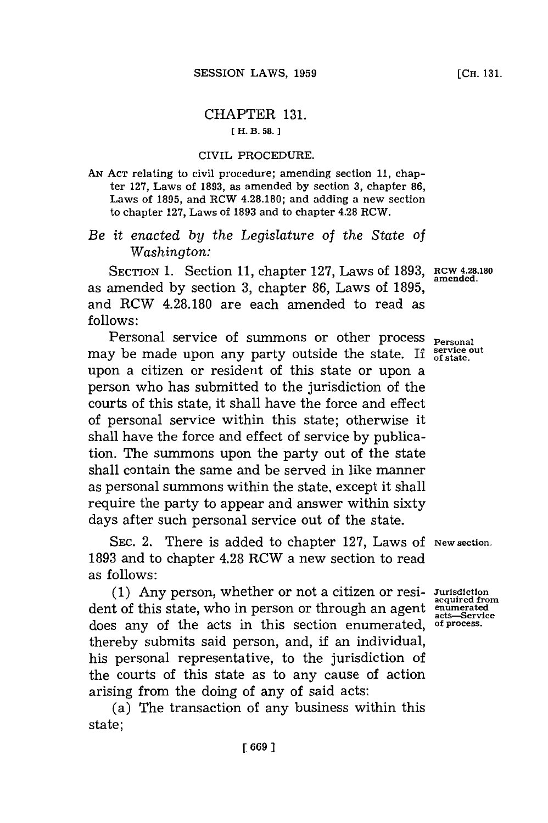## CHAPTER **131.**

## **[H. B. 58. 1**

## CIVIL PROCEDURE.

**AN ACT** relating to civil procedure; amending section **11,** chapter **127,** Laws of **1893,** as amended **by** section **3,** chapter **86,** Laws of **1895,** and RCW **4.28.180;** and adding a new section to chapter **127,** Laws of **1893** and to chapter 4.28 RCW.

*Be it enacted by the Legislature of the State of Washington:*

SECTION 1. Section 11, chapter 127, Laws of 1893, RCW 4.28.180 as amended **by** section **3,** chapter **86,** Laws of **1895 ,** and RCW **4.28.180** are each amended to read as **follows:**

Personal service of summons or other process <sub>Personal</sub> may be made upon any party outside the state. If **service** out upon a citizen or resident of this state or upon a person who has submitted to the jurisdiction of the courts of this state, it shall have the force and effect of personal service within this state; otherwise it shall have the force and effect of service **by** publication. The summons upon the party out of the state shall contain the same and be served in like manner as personal summons within the state, except it shall require the party to appear and answer within sixty days after such personal service out of the state.

SEC. 2. There is added to chapter 127, Laws of New section. **1893** and to chapter 4.28 RCW a new section to read as follows:

**(1)** Any person, whether or not a citizen or resi- Jurisdiction dent of this state, who in person or through an agent **enumerated acts-Service** does any of the acts in this section enumerated, **of process.** thereby submits said person, and, if an individual, his personal representative, to the jurisdiction of the courts of this state as to any cause of action arising from the doing of any of said acts:

(a) The transaction of any business within this state;